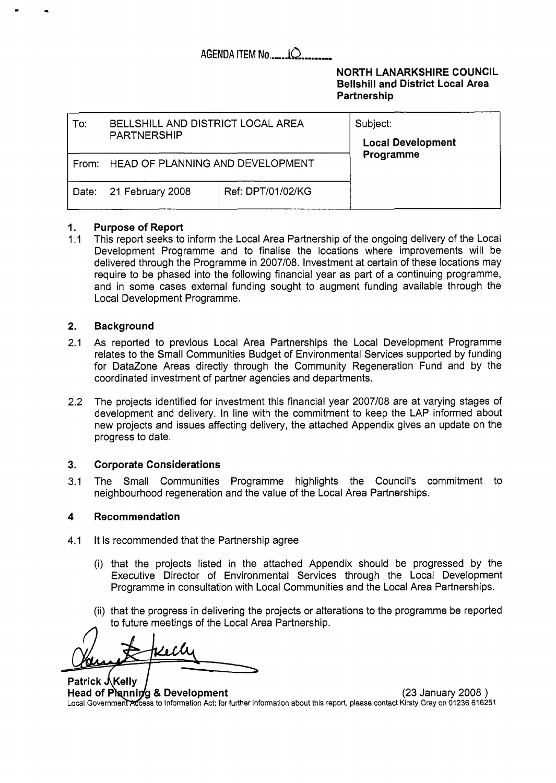## **AGENDA** ITEM **No** ...... **iQ** ...,

### **NORTH LANARKSHIRE COUNCIL Bellshill and District Local Area Partners hip**

| To:   | BELLSHILL AND DISTRICT LOCAL AREA<br><b>PARTNERSHIP</b> | Subject:<br><b>Local Development</b> |  |
|-------|---------------------------------------------------------|--------------------------------------|--|
| From: | HEAD OF PLANNING AND DEVELOPMENT                        | Programme                            |  |
|       | Date: 21 February 2008                                  | Ref: DPT/01/02/KG                    |  |

#### **1. Purpose of Report**

*<sup>c</sup>*.

 $1.1$ This report seeks to inform the Local Area Partnership of the ongoing delivery of the Local Development Programme and to finalise the locations where improvements will be delivered through the Programme in 2007/08. Investment at certain of these locations may require to be phased into the following financial year as part of a continuing programme, and in some cases external funding sought to augment funding available through the Local Development Programme.

#### **2. Background**

- 2.1 As reported to previous Local Area Partnerships the Local Development Programme relates to the Small Communities Budget of Environmental Services supported by funding for DataZone Areas directly through the Community Regeneration Fund and by the coordinated investment of partner agencies and departments.
- 2.2 The projects identified for investment this financial year 2007/08 are at varying stages of development and delivery. In line with the commitment to keep the LAP informed about new projects and issues affecting delivery, the attached Appendix gives an update on the progress to date.

#### **3. Corporate Considerations**

3.1 The Small Communities Programme highlights the Council's commitment to neighbourhood regeneration and the value of the Local Area Partnerships.

#### **4 Recommendation**

- 4.1 It is recommended that the Partnership agree
	- (i) that the projects listed in the attached Appendix should be progressed by the Executive Director of Environmental Services through the Local Development Programme in consultation with Local Communities and the Local Area Partnerships.
	- (ii) that the progress in delivering the projects or alterations to the programme be reported to future meetings of the Local Area Partnership.

Patrick JKelly **Head of Planning & Development** (23 January 2008 ) Local Government Access to Information Act: for further information about this report, please contact Kirsty Gray on 01236 616251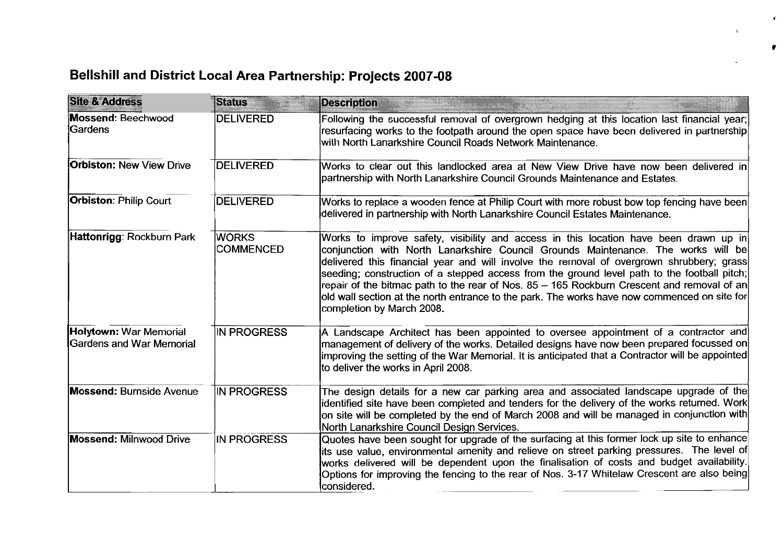# **Bellshill and District Local Area Partnership: Projects 2007-08**

| <b>Site &amp; Address</b>                                 | <b>Status</b>                    | <b>Description</b>                                                                                                                                                                                                                                                                                                                                                                                                                                                                                                                                                                               |
|-----------------------------------------------------------|----------------------------------|--------------------------------------------------------------------------------------------------------------------------------------------------------------------------------------------------------------------------------------------------------------------------------------------------------------------------------------------------------------------------------------------------------------------------------------------------------------------------------------------------------------------------------------------------------------------------------------------------|
| Mossend: Beechwood<br>Gardens                             | <b>DELIVERED</b>                 | Following the successful removal of overgrown hedging at this location last financial year;<br>resurfacing works to the footpath around the open space have been delivered in partnership<br>with North Lanarkshire Council Roads Network Maintenance.                                                                                                                                                                                                                                                                                                                                           |
| <b>Orbiston: New View Drive</b>                           | <b>DELIVERED</b>                 | Works to clear out this landlocked area at New View Drive have now been delivered in<br>partnership with North Lanarkshire Council Grounds Maintenance and Estates.                                                                                                                                                                                                                                                                                                                                                                                                                              |
| <b>Orbiston: Philip Court</b>                             | <b>DELIVERED</b>                 | Works to replace a wooden fence at Philip Court with more robust bow top fencing have been<br>delivered in partnership with North Lanarkshire Council Estates Maintenance.                                                                                                                                                                                                                                                                                                                                                                                                                       |
| Hattonrigg: Rockburn Park                                 | <b>WORKS</b><br><b>COMMENCED</b> | Works to improve safety, visibility and access in this location have been drawn up in<br>conjunction with North Lanarkshire Council Grounds Maintenance. The works will be<br>delivered this financial year and will involve the removal of overgrown shrubbery; grass<br>seeding; construction of a stepped access from the ground level path to the football pitch;<br>repair of the bitmac path to the rear of Nos. 85 - 165 Rockburn Crescent and removal of an<br>old wall section at the north entrance to the park. The works have now commenced on site for<br>completion by March 2008. |
| <b>Holytown: War Memorial</b><br>Gardens and War Memorial | IN PROGRESS                      | A Landscape Architect has been appointed to oversee appointment of a contractor and<br>management of delivery of the works. Detailed designs have now been prepared focussed on<br>improving the setting of the War Memorial. It is anticipated that a Contractor will be appointed<br>to deliver the works in April 2008.                                                                                                                                                                                                                                                                       |
| <b>Mossend: Burnside Avenue</b>                           | <b>IN PROGRESS</b>               | The design details for a new car parking area and associated landscape upgrade of the<br>identified site have been completed and tenders for the delivery of the works returned. Work<br>on site will be completed by the end of March 2008 and will be managed in conjunction with<br>North Lanarkshire Council Design Services.                                                                                                                                                                                                                                                                |
| <b>Mossend: Milnwood Drive</b>                            | IN PROGRESS                      | Quotes have been sought for upgrade of the surfacing at this former lock up site to enhance<br>its use value, environmental amenity and relieve on street parking pressures. The level of<br>works delivered will be dependent upon the finalisation of costs and budget availability.<br>Options for improving the fencing to the rear of Nos. 3-17 Whitelaw Crescent are also being<br>considered.                                                                                                                                                                                             |

 $\mathbf{r}$ 

 $\bullet$ 

 $\mathfrak{r}$